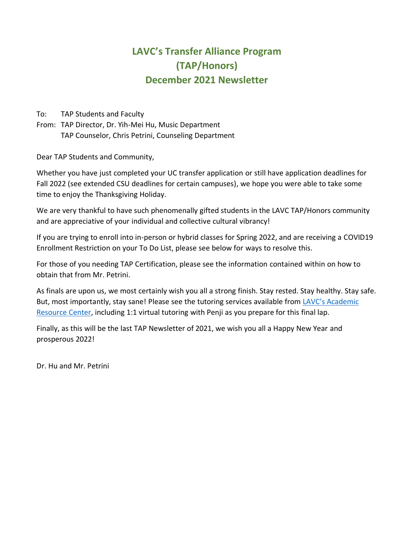# **LAVC's Transfer Alliance Program (TAP/Honors) December 2021 Newsletter**

To: TAP Students and Faculty

From: TAP Director, Dr. Yih-Mei Hu, Music Department TAP Counselor, Chris Petrini, Counseling Department

Dear TAP Students and Community,

Whether you have just completed your UC transfer application or still have application deadlines for Fall 2022 (see extended CSU deadlines for certain campuses), we hope you were able to take some time to enjoy the Thanksgiving Holiday.

We are very thankful to have such phenomenally gifted students in the LAVC TAP/Honors community and are appreciative of your individual and collective cultural vibrancy!

If you are trying to enroll into in-person or hybrid classes for Spring 2022, and are receiving a COVID19 Enrollment Restriction on your To Do List, please see below for ways to resolve this.

For those of you needing TAP Certification, please see the information contained within on how to obtain that from Mr. Petrini.

As finals are upon us, we most certainly wish you all a strong finish. Stay rested. Stay healthy. Stay safe. But, most importantly, stay sane! Please see the tutoring services available from [LAVC's Academic](https://www.lavc.edu/Academic-Resource-Center/ARC-Home.aspx)  [Resource Center,](https://www.lavc.edu/Academic-Resource-Center/ARC-Home.aspx) including 1:1 virtual tutoring with Penji as you prepare for this final lap.

Finally, as this will be the last TAP Newsletter of 2021, we wish you all a Happy New Year and prosperous 2022!

Dr. Hu and Mr. Petrini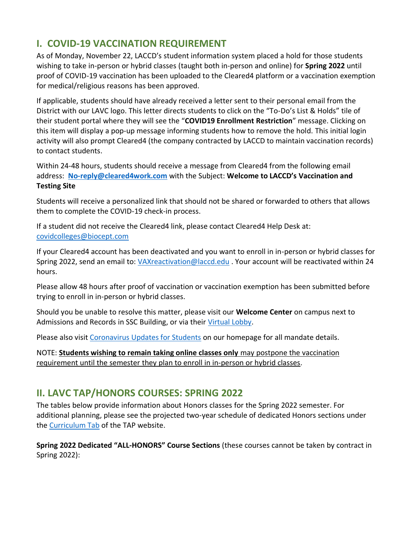# **I. COVID-19 VACCINATION REQUIREMENT**

As of Monday, November 22, LACCD's student information system placed a hold for those students wishing to take in-person or hybrid classes (taught both in-person and online) for **Spring 2022** until proof of COVID-19 vaccination has been uploaded to the Cleared4 platform or a vaccination exemption for medical/religious reasons has been approved.

If applicable, students should have already received a letter sent to their personal email from the District with our LAVC logo. This letter directs students to click on the "To-Do's List & Holds" tile of their student portal where they will see the "**COVID19 Enrollment Restriction**" message. Clicking on this item will display a pop-up message informing students how to remove the hold. This initial login activity will also prompt Cleared4 (the company contracted by LACCD to maintain vaccination records) to contact students.

Within 24-48 hours, students should receive a message from Cleared4 from the following email address: **[No-reply@cleared4work.com](mailto:No-reply@cleared4work.com)** with the Subject: **Welcome to LACCD's Vaccination and Testing Site**

Students will receive a personalized link that should not be shared or forwarded to others that allows them to complete the COVID-19 check-in process.

If a student did not receive the Cleared4 link, please contact Cleared4 Help Desk at: [covidcolleges@biocept.com](mailto:covidcolleges@biocept.com)

If your Cleared4 account has been deactivated and you want to enroll in in-person or hybrid classes for Spring 2022, send an email to: [VAXreactivation@laccd.edu](mailto:VAXreactivation@laccd.edu) . Your account will be reactivated within 24 hours.

Please allow 48 hours after proof of vaccination or vaccination exemption has been submitted before trying to enroll in in-person or hybrid classes.

Should you be unable to resolve this matter, please visit our **Welcome Center** on campus next to Admissions and Records in SSC Building, or via their [Virtual Lobby.](https://lavc.edu/Welcome-Center/Welcome-Center.aspx)

Please also visi[t Coronavirus Updates for Students](https://lavc.edu/Coronavirus/Student-Updates.aspx) on our homepage for all mandate details.

NOTE: **Students wishing to remain taking online classes only** may postpone the vaccination requirement until the semester they plan to enroll in in-person or hybrid classes.

### **II. LAVC TAP/HONORS COURSES: SPRING 2022**

The tables below provide information about Honors classes for the Spring 2022 semester. For additional planning, please see the projected two-year schedule of dedicated Honors sections under the [Curriculum Tab](https://lavc.edu/tap/tap-curriculum.aspx) of the TAP website.

**Spring 2022 Dedicated "ALL-HONORS" Course Sections** (these courses cannot be taken by contract in Spring 2022):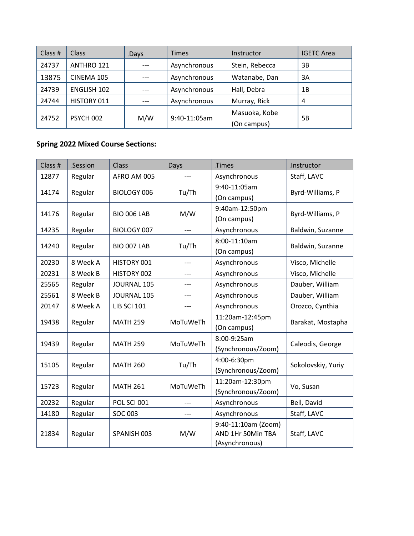| Class # | <b>Class</b> | Days. | Times        | Instructor     | <b>IGETC Area</b> |
|---------|--------------|-------|--------------|----------------|-------------------|
| 24737   | ANTHRO 121   | $---$ | Asynchronous | Stein, Rebecca | 3B                |
| 13875   | CINEMA 105   | $---$ | Asynchronous | Watanabe, Dan  | 3A                |
| 24739   | ENGLISH 102  | $---$ | Asynchronous | Hall, Debra    | 1B                |
| 24744   | HISTORY 011  | $---$ | Asynchronous | Murray, Rick   | 4                 |
| 24752   | PSYCH 002    | M/W   | 9:40-11:05am | Masuoka, Kobe  | 5B                |
|         |              |       |              | (On campus)    |                   |

#### **Spring 2022 Mixed Course Sections:**

| Class # | Session  | Class              | Days     | Times                                                      | <b>Instructor</b>  |
|---------|----------|--------------------|----------|------------------------------------------------------------|--------------------|
| 12877   | Regular  | AFRO AM 005        |          | Asynchronous                                               | Staff, LAVC        |
| 14174   | Regular  | BIOLOGY 006        | Tu/Th    | 9:40-11:05am<br>(On campus)                                | Byrd-Williams, P   |
| 14176   | Regular  | <b>BIO 006 LAB</b> | M/W      | 9:40am-12:50pm<br>(On campus)                              | Byrd-Williams, P   |
| 14235   | Regular  | BIOLOGY 007        | $---$    | Asynchronous                                               | Baldwin, Suzanne   |
| 14240   | Regular  | BIO 007 LAB        | Tu/Th    | 8:00-11:10am<br>(On campus)                                | Baldwin, Suzanne   |
| 20230   | 8 Week A | HISTORY 001        |          | Asynchronous                                               | Visco, Michelle    |
| 20231   | 8 Week B | HISTORY 002        |          | Asynchronous                                               | Visco, Michelle    |
| 25565   | Regular  | <b>JOURNAL 105</b> | ---      | Asynchronous                                               | Dauber, William    |
| 25561   | 8 Week B | JOURNAL 105        | ---      | Asynchronous                                               | Dauber, William    |
| 20147   | 8 Week A | <b>LIB SCI 101</b> | $---$    | Asynchronous                                               | Orozco, Cynthia    |
| 19438   | Regular  | <b>MATH 259</b>    | MoTuWeTh | 11:20am-12:45pm<br>(On campus)                             | Barakat, Mostapha  |
| 19439   | Regular  | <b>MATH 259</b>    | MoTuWeTh | 8:00-9:25am<br>(Synchronous/Zoom)                          | Caleodis, George   |
| 15105   | Regular  | <b>MATH 260</b>    | Tu/Th    | 4:00-6:30pm<br>(Synchronous/Zoom)                          | Sokolovskiy, Yuriy |
| 15723   | Regular  | <b>MATH 261</b>    | MoTuWeTh | 11:20am-12:30pm<br>(Synchronous/Zoom)                      | Vo, Susan          |
| 20232   | Regular  | POL SCI 001        |          | Asynchronous                                               | Bell, David        |
| 14180   | Regular  | <b>SOC 003</b>     |          | Asynchronous                                               | Staff, LAVC        |
| 21834   | Regular  | SPANISH 003        | M/W      | 9:40-11:10am (Zoom)<br>AND 1Hr 50Min TBA<br>(Asynchronous) | Staff, LAVC        |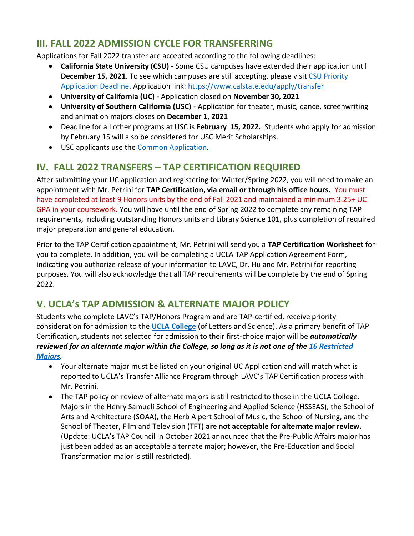### **III. FALL 2022 ADMISSION CYCLE FOR TRANSFERRING**

Applications for Fall 2022 transfer are accepted according to the following deadlines:

- **California State University (CSU)** Some CSU campuses have extended their application until **December 15, 2021**. To see which campuses are still accepting, please visit [CSU Priority](https://www.calstate.edu/apply/Pages/csu-priority-application-deadline.aspx)  [Application Deadline.](https://www.calstate.edu/apply/Pages/csu-priority-application-deadline.aspx) Application link:<https://www.calstate.edu/apply/transfer>
- **University of California (UC)** Application closed on **November 30, 2021**
- **University of Southern California (USC)** Application for theater, music, dance, screenwriting and animation majors closes on **December 1, 2021**
- Deadline for all other programs at USC is **February 15, 2022.** Students who apply for admission by February 15 will also be considered for USC Merit Scholarships.
- USC applicants use the [Common Application.](•%09https:/apply.transfer.commonapp.org/applicant-ux#/login)

# **IV. FALL 2022 TRANSFERS – TAP CERTIFICATION REQUIRED**

After submitting your UC application and registering for Winter/Spring 2022, you will need to make an appointment with Mr. Petrini for **TAP Certification, via email or through his office hours.** You must have completed at least 9 Honors units by the end of Fall 2021 and maintained a minimum 3.25+ UC GPA in your coursework. You will have until the end of Spring 2022 to complete any remaining TAP requirements, including outstanding Honors units and Library Science 101, plus completion of required major preparation and general education.

Prior to the TAP Certification appointment, Mr. Petrini will send you a **TAP Certification Worksheet** for you to complete. In addition, you will be completing a UCLA TAP Application Agreement Form, indicating you authorize release of your information to LAVC, Dr. Hu and Mr. Petrini for reporting purposes. You will also acknowledge that all TAP requirements will be complete by the end of Spring 2022.

### **V. UCLA's TAP ADMISSION & ALTERNATE MAJOR POLICY**

Students who complete LAVC's TAP/Honors Program and are TAP-certified, receive priority consideration for admission to the **[UCLA College](https://www.college.ucla.edu/the-college/)** (of Letters and Science). As a primary benefit of TAP Certification, students not selected for admission to their first-choice major will be *automatically reviewed for an alternate major within the College, so long as it is not one of the [16 Restricted](https://admission.ucla.edu/apply/transfer/ucla-transfer-alliance-program)  [Majors.](https://admission.ucla.edu/apply/transfer/ucla-transfer-alliance-program)*

- Your alternate major must be listed on your original UC Application and will match what is reported to UCLA's Transfer Alliance Program through LAVC's TAP Certification process with Mr. Petrini.
- The TAP policy on review of alternate majors is still restricted to those in the UCLA College. Majors in the Henry Samueli School of Engineering and Applied Science (HSSEAS), the School of Arts and Architecture (SOAA), the Herb Alpert School of Music, the School of Nursing, and the School of Theater, Film and Television (TFT) **are not acceptable for alternate major review.** (Update: UCLA's TAP Council in October 2021 announced that the Pre-Public Affairs major has just been added as an acceptable alternate major; however, the Pre-Education and Social Transformation major is still restricted).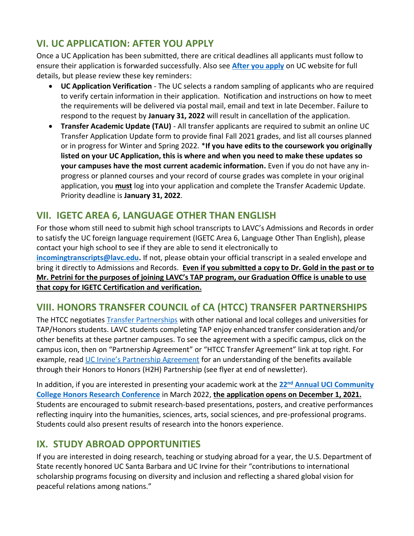# **VI. UC APPLICATION: AFTER YOU APPLY**

Once a UC Application has been submitted, there are critical deadlines all applicants must follow to ensure their application is forwarded successfully. Also see **[After you apply](https://admission.universityofcalifornia.edu/how-to-apply/applying-as-a-transfer/after-you-apply/)** on UC website for full details, but please review these key reminders:

- **UC Application Verification** The UC selects a random sampling of applicants who are required to verify certain information in their application. Notification and instructions on how to meet the requirements will be delivered via postal mail, email and text in late December. Failure to respond to the request by **January 31, 2022** will result in cancellation of the application.
- **Transfer Academic Update (TAU)** All transfer applicants are required to submit an online UC Transfer Application Update form to provide final Fall 2021 grades, and list all courses planned or in progress for Winter and Spring 2022. \***If you have edits to the coursework you originally listed on your UC Application, this is where and when you need to make these updates so your campuses have the most current academic information.** Even if you do not have any inprogress or planned courses and your record of course grades was complete in your original application, you **must** log into your application and complete the Transfer Academic Update. Priority deadline is **January 31, 2022**.

# **VII. IGETC AREA 6, LANGUAGE OTHER THAN ENGLISH**

For those whom still need to submit high school transcripts to LAVC's Admissions and Records in order to satisfy the UC foreign language requirement (IGETC Area 6, Language Other Than English), please contact your high school to see if they are able to send it electronically to **[incomingtranscripts@lavc.edu.](mailto:incomingtranscripts@lavc.edu)** If not, please obtain your official transcript in a sealed envelope and bring it directly to Admissions and Records. **Even if you submitted a copy to Dr. Gold in the past or to Mr. Petrini for the purposes of joining LAVC's TAP program, our Graduation Office is unable to use that copy for IGETC Certification and verification.**

### **VIII. HONORS TRANSFER COUNCIL of CA (HTCC) TRANSFER PARTNERSHIPS**

The HTCC negotiates [Transfer Partnerships](https://www.honorstransfercouncil.org/transfer-partners) with other national and local colleges and universities for TAP/Honors students. LAVC students completing TAP enjoy enhanced transfer consideration and/or other benefits at these partner campuses. To see the agreement with a specific campus, click on the campus icon, then on "Partnership Agreement" or "HTCC Transfer Agreement" link at top right. For example, read [UC Irvine's Partnership Agreement](https://839a079d-5123-4823-8bea-14e4b75e2bb4.filesusr.com/ugd/0c62f0_29e6eeda739945f8927eb3adf5ddb556.pdf) for an understanding of the benefits available through their Honors to Honors (H2H) Partnership (see flyer at end of newsletter).

In addition, if you are interested in presenting your academic work at the **22nd [Annual UCI Community](https://www.honorstransfercouncil.org/the-conference-1)  [College Honors Research Conference](https://www.honorstransfercouncil.org/the-conference-1)** in March 2022, **the application opens on December 1, 2021.** Students are encouraged to submit research-based presentations, posters, and creative performances reflecting inquiry into the humanities, sciences, arts, social sciences, and pre-professional programs. Students could also present results of research into the honors experience.

# **IX. STUDY ABROAD OPPORTUNITIES**

If you are interested in doing research, teaching or studying abroad for a year, the U.S. Department of State recently honored UC Santa Barbara and UC Irvine for their "contributions to international scholarship programs focusing on diversity and inclusion and reflecting a shared global vision for peaceful relations among nations."